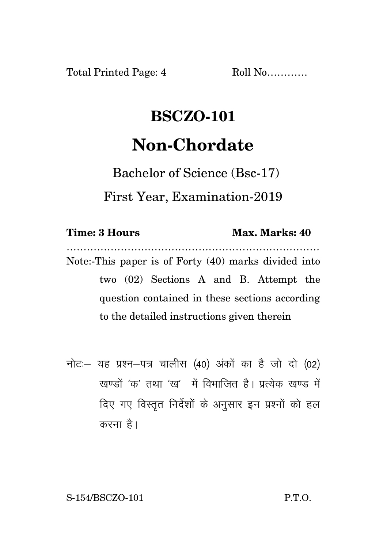Total Printed Page: 4 Roll No...........

## **BSCZO-101 Non-Chordate**

Bachelor of Science (Bsc-17)

First Year, Examination-2019

## **Time: 3 Hours Max. Marks: 40**

………………………………………………………………… Note:-This paper is of Forty (40) marks divided into two (02) Sections A and B. Attempt the question contained in these sections according to the detailed instructions given therein

नोट: यह प्रश्न-पत्र चालीस (40) अंकों का है जो दो (02) खण्डों 'क' तथा 'ख' में विभाजित है। प्रत्येक खण्ड में दिए गए विस्तृत निर्देशों के अनुसार इन प्रश्नों को हल करना $\hat{g}$ ।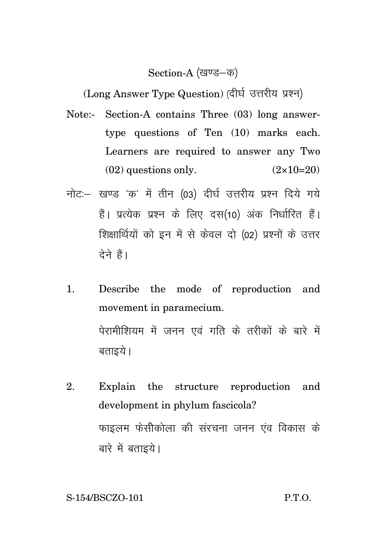## Section-A (खण्ड-क)

(Long Answer Type Question) (दीर्घ उत्तरीय प्रश्न)

- Note:- Section-A contains Three (03) long answertype questions of Ten (10) marks each. Learners are required to answer any Two  $(02)$  questions only.  $(2 \times 10=20)$
- नोट: खण्ड 'क' में तीन (03) दीर्घ उत्तरीय प्रश्न दिये गये हैं। प्रत्येक प्रश्न के लिए दस(10) अंक निर्धारित हैं। शिक्षार्थियों को इन में से केवल दो (02) प्रश्नों के उत्तर टेने हैं।
- 1. Describe the mode of reproduction and movement in paramecium. पेरामीशियम में जनन एवं गति के तरीकों के बारे में बताइये ।
- 2. Explain the structure reproduction and development in phylum fascicola? फाइलम फेसीकोला की संरचना जनन एंव विकास के बारे में बताइये।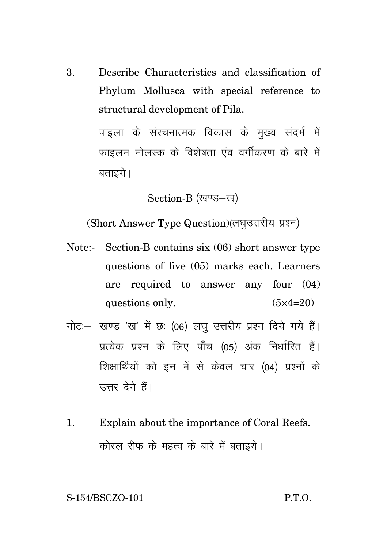3. Describe Characteristics and classification of Phylum Mollusca with special reference to structural development of Pila.

> पाइला के संरचनात्मक विकास के मख्य संदर्भ में फाइलम मोलस्क के विशेषता एंव वर्गीकरण के बारे में बताइये ।

> > Section-B (खण्ड-ख)

(Short Answer Type Question) (लघुउत्तरीय प्रश्न)

- Note:- Section-B contains six (06) short answer type questions of five (05) marks each. Learners are required to answer any four (04) questions only.  $(5 \times 4=20)$
- नोट: खण्ड 'ख' में छः (06) लघु उत्तरीय प्रश्न दिये गये हैं। प्रत्येक प्रश्न के लिए पाँच (05) अंक निर्धारित हैं। शिक्षार्थियों को इन में से केवल चार (04) प्रश्नों के उत्तर देने हैं।
- 1. Explain about the importance of Coral Reefs. कोरल रीफ के महत्व के बारे में बताइये।

S-154/BSCZO-101 P.T.O.